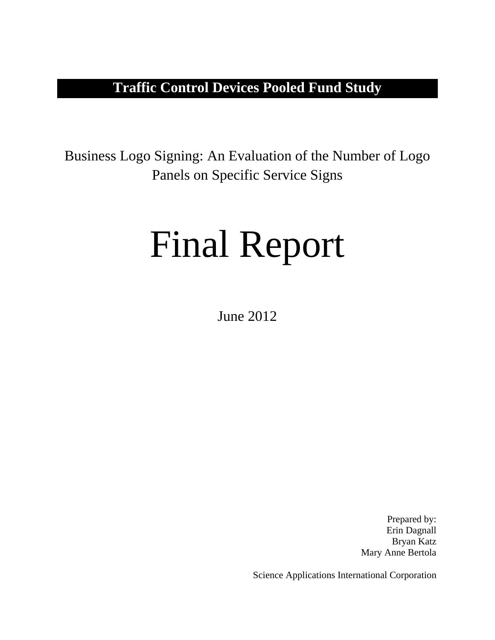# **Traffic Control Devices Pooled Fund Study**

Business Logo Signing: An Evaluation of the Number of Logo Panels on Specific Service Signs

# Final Report

June 2012

Prepared by: Erin Dagnall Bryan Katz Mary Anne Bertola

Science Applications International Corporation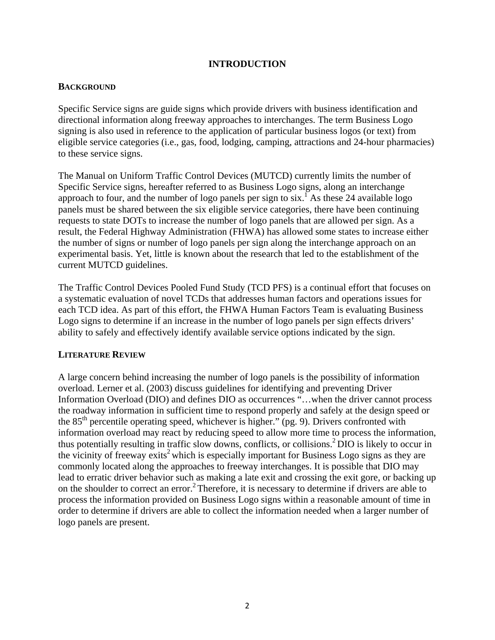# **INTRODUCTION**

## **BACKGROUND**

Specific Service signs are guide signs which provide drivers with business identification and directional information along freeway approaches to interchanges. The term Business Logo signing is also used in reference to the application of particular business logos (or text) from eligible service categories (i.e., gas, food, lodging, camping, attractions and 24-hour pharmacies) to these service signs.

The Manual on Uniform Traffic Control Devices (MUTCD) currently limits the number of Specific Service signs, hereafter referred to as Business Logo signs, along an interchange approach to four, and the number of logo panels per sign to  $\sin^{-1}$  As these 24 available logo panels must be shared between the six eligible service categories, there have been continuing requests to state DOTs to increase the number of logo panels that are allowed per sign. As a result, the Federal Highway Administration (FHWA) has allowed some states to increase either the number of signs or number of logo panels per sign along the interchange approach on an experimental basis. Yet, little is known about the research that led to the establishment of the current MUTCD guidelines.

The Traffic Control Devices Pooled Fund Study (TCD PFS) is a continual effort that focuses on a systematic evaluation of novel TCDs that addresses human factors and operations issues for each TCD idea. As part of this effort, the FHWA Human Factors Team is evaluating Business Logo signs to determine if an increase in the number of logo panels per sign effects drivers' ability to safely and effectively identify available service options indicated by the sign.

#### **LITERATURE REVIEW**

A large concern behind increasing the number of logo panels is the possibility of information overload. Lerner et al. (2003) discuss guidelines for identifying and preventing Driver Information Overload (DIO) and defines DIO as occurrences "…when the driver cannot process the roadway information in sufficient time to respond properly and safely at the design speed or the 85<sup>th</sup> percentile operating speed, whichever is higher." (pg. 9). Drivers confronted with information overload may react by reducing speed to allow more time to process the information, thus potentially resulting in traffic slow downs, conflicts, or collisions.2 DIO is likely to occur in the vicinity of freeway exits<sup>2</sup> which is especially important for Business Logo signs as they are commonly located along the approaches to freeway interchanges. It is possible that DIO may lead to erratic driver behavior such as making a late exit and crossing the exit gore, or backing up on the shoulder to correct an error.<sup>2</sup> Therefore, it is necessary to determine if drivers are able to process the information provided on Business Logo signs within a reasonable amount of time in order to determine if drivers are able to collect the information needed when a larger number of logo panels are present.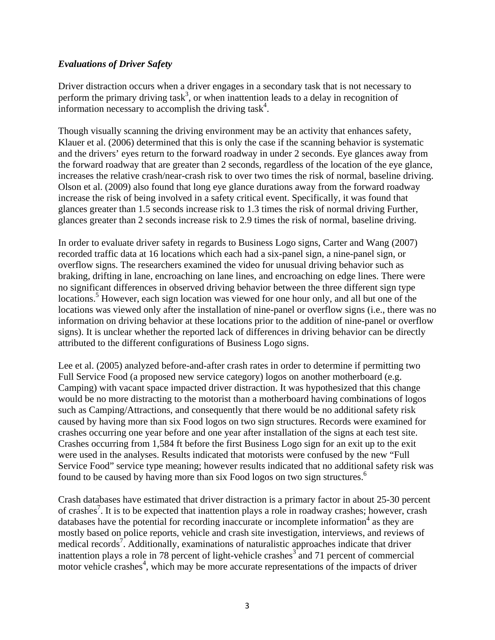# *Evaluations of Driver Safety*

Driver distraction occurs when a driver engages in a secondary task that is not necessary to perform the primary driving task<sup>3</sup>, or when inattention leads to a delay in recognition of information necessary to accomplish the driving task<sup>4</sup>.

Though visually scanning the driving environment may be an activity that enhances safety, Klauer et al. (2006) determined that this is only the case if the scanning behavior is systematic and the drivers' eyes return to the forward roadway in under 2 seconds. Eye glances away from the forward roadway that are greater than 2 seconds, regardless of the location of the eye glance, increases the relative crash/near-crash risk to over two times the risk of normal, baseline driving. Olson et al. (2009) also found that long eye glance durations away from the forward roadway increase the risk of being involved in a safety critical event. Specifically, it was found that glances greater than 1.5 seconds increase risk to 1.3 times the risk of normal driving Further, glances greater than 2 seconds increase risk to 2.9 times the risk of normal, baseline driving.

In order to evaluate driver safety in regards to Business Logo signs, Carter and Wang (2007) recorded traffic data at 16 locations which each had a six-panel sign, a nine-panel sign, or overflow signs. The researchers examined the video for unusual driving behavior such as braking, drifting in lane, encroaching on lane lines, and encroaching on edge lines. There were no significant differences in observed driving behavior between the three different sign type locations.<sup>5</sup> However, each sign location was viewed for one hour only, and all but one of the locations was viewed only after the installation of nine-panel or overflow signs (i.e., there was no information on driving behavior at these locations prior to the addition of nine-panel or overflow signs). It is unclear whether the reported lack of differences in driving behavior can be directly attributed to the different configurations of Business Logo signs.

Lee et al. (2005) analyzed before-and-after crash rates in order to determine if permitting two Full Service Food (a proposed new service category) logos on another motherboard (e.g. Camping) with vacant space impacted driver distraction. It was hypothesized that this change would be no more distracting to the motorist than a motherboard having combinations of logos such as Camping/Attractions, and consequently that there would be no additional safety risk caused by having more than six Food logos on two sign structures. Records were examined for crashes occurring one year before and one year after installation of the signs at each test site. Crashes occurring from 1,584 ft before the first Business Logo sign for an exit up to the exit were used in the analyses. Results indicated that motorists were confused by the new "Full Service Food" service type meaning; however results indicated that no additional safety risk was found to be caused by having more than six Food logos on two sign structures.<sup>6</sup>

Crash databases have estimated that driver distraction is a primary factor in about 25-30 percent of crashes<sup>7</sup>. It is to be expected that inattention plays a role in roadway crashes; however, crash databases have the potential for recording inaccurate or incomplete information<sup>4</sup> as they are mostly based on police reports, vehicle and crash site investigation, interviews, and reviews of medical records<sup>7</sup>. Additionally, examinations of naturalistic approaches indicate that driver inattention plays a role in 78 percent of light-vehicle crashes<sup>3</sup> and 71 percent of commercial motor vehicle crashes<sup>4</sup>, which may be more accurate representations of the impacts of driver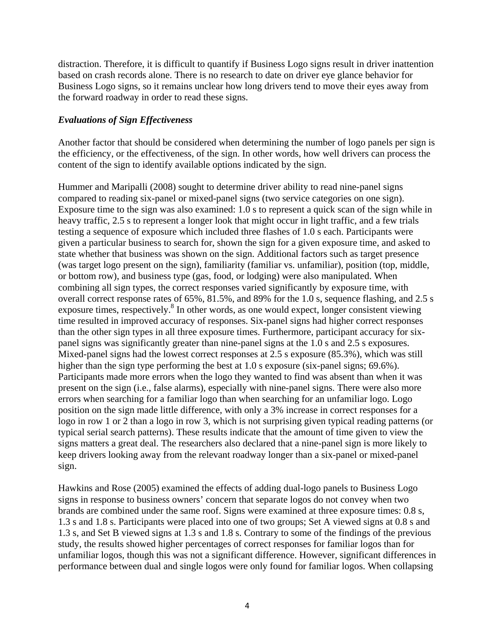distraction. Therefore, it is difficult to quantify if Business Logo signs result in driver inattention based on crash records alone. There is no research to date on driver eye glance behavior for Business Logo signs, so it remains unclear how long drivers tend to move their eyes away from the forward roadway in order to read these signs.

# *Evaluations of Sign Effectiveness*

Another factor that should be considered when determining the number of logo panels per sign is the efficiency, or the effectiveness, of the sign. In other words, how well drivers can process the content of the sign to identify available options indicated by the sign.

Hummer and Maripalli (2008) sought to determine driver ability to read nine-panel signs compared to reading six-panel or mixed-panel signs (two service categories on one sign). Exposure time to the sign was also examined: 1.0 s to represent a quick scan of the sign while in heavy traffic, 2.5 s to represent a longer look that might occur in light traffic, and a few trials testing a sequence of exposure which included three flashes of 1.0 s each. Participants were given a particular business to search for, shown the sign for a given exposure time, and asked to state whether that business was shown on the sign. Additional factors such as target presence (was target logo present on the sign), familiarity (familiar vs. unfamiliar), position (top, middle, or bottom row), and business type (gas, food, or lodging) were also manipulated. When combining all sign types, the correct responses varied significantly by exposure time, with overall correct response rates of 65%, 81.5%, and 89% for the 1.0 s, sequence flashing, and 2.5 s exposure times, respectively.<sup>8</sup> In other words, as one would expect, longer consistent viewing time resulted in improved accuracy of responses. Six-panel signs had higher correct responses than the other sign types in all three exposure times. Furthermore, participant accuracy for sixpanel signs was significantly greater than nine-panel signs at the 1.0 s and 2.5 s exposures. Mixed-panel signs had the lowest correct responses at 2.5 s exposure (85.3%), which was still higher than the sign type performing the best at 1.0 s exposure (six-panel signs; 69.6%). Participants made more errors when the logo they wanted to find was absent than when it was present on the sign (i.e., false alarms), especially with nine-panel signs. There were also more errors when searching for a familiar logo than when searching for an unfamiliar logo. Logo position on the sign made little difference, with only a 3% increase in correct responses for a logo in row 1 or 2 than a logo in row 3, which is not surprising given typical reading patterns (or typical serial search patterns). These results indicate that the amount of time given to view the signs matters a great deal. The researchers also declared that a nine-panel sign is more likely to keep drivers looking away from the relevant roadway longer than a six-panel or mixed-panel sign.

Hawkins and Rose (2005) examined the effects of adding dual-logo panels to Business Logo signs in response to business owners' concern that separate logos do not convey when two brands are combined under the same roof. Signs were examined at three exposure times: 0.8 s, 1.3 s and 1.8 s. Participants were placed into one of two groups; Set A viewed signs at 0.8 s and 1.3 s, and Set B viewed signs at 1.3 s and 1.8 s. Contrary to some of the findings of the previous study, the results showed higher percentages of correct responses for familiar logos than for unfamiliar logos, though this was not a significant difference. However, significant differences in performance between dual and single logos were only found for familiar logos. When collapsing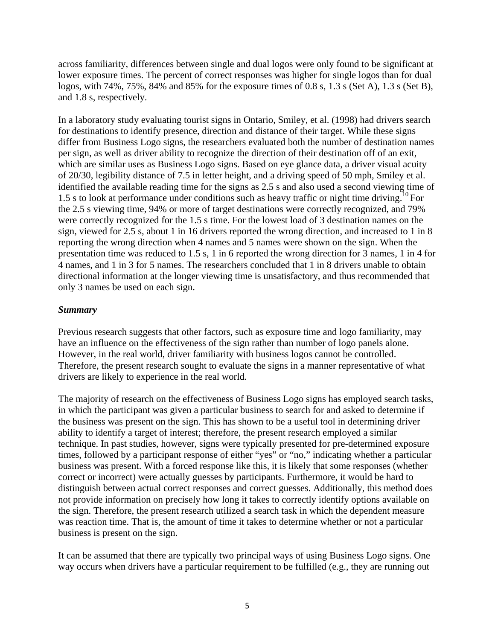across familiarity, differences between single and dual logos were only found to be significant at lower exposure times. The percent of correct responses was higher for single logos than for dual logos, with 74%, 75%, 84% and 85% for the exposure times of 0.8 s, 1.3 s (Set A), 1.3 s (Set B), and 1.8 s, respectively.

In a laboratory study evaluating tourist signs in Ontario, Smiley, et al. (1998) had drivers search for destinations to identify presence, direction and distance of their target. While these signs differ from Business Logo signs, the researchers evaluated both the number of destination names per sign, as well as driver ability to recognize the direction of their destination off of an exit, which are similar uses as Business Logo signs. Based on eye glance data, a driver visual acuity of 20/30, legibility distance of 7.5 in letter height, and a driving speed of 50 mph, Smiley et al. identified the available reading time for the signs as 2.5 s and also used a second viewing time of 1.5 s to look at performance under conditions such as heavy traffic or night time driving.<sup>10</sup> For the 2.5 s viewing time, 94% or more of target destinations were correctly recognized, and 79% were correctly recognized for the 1.5 s time. For the lowest load of 3 destination names on the sign, viewed for 2.5 s, about 1 in 16 drivers reported the wrong direction, and increased to 1 in 8 reporting the wrong direction when 4 names and 5 names were shown on the sign. When the presentation time was reduced to 1.5 s, 1 in 6 reported the wrong direction for 3 names, 1 in 4 for 4 names, and 1 in 3 for 5 names. The researchers concluded that 1 in 8 drivers unable to obtain directional information at the longer viewing time is unsatisfactory, and thus recommended that only 3 names be used on each sign.

#### *Summary*

Previous research suggests that other factors, such as exposure time and logo familiarity, may have an influence on the effectiveness of the sign rather than number of logo panels alone. However, in the real world, driver familiarity with business logos cannot be controlled. Therefore, the present research sought to evaluate the signs in a manner representative of what drivers are likely to experience in the real world.

The majority of research on the effectiveness of Business Logo signs has employed search tasks, in which the participant was given a particular business to search for and asked to determine if the business was present on the sign. This has shown to be a useful tool in determining driver ability to identify a target of interest; therefore, the present research employed a similar technique. In past studies, however, signs were typically presented for pre-determined exposure times, followed by a participant response of either "yes" or "no," indicating whether a particular business was present. With a forced response like this, it is likely that some responses (whether correct or incorrect) were actually guesses by participants. Furthermore, it would be hard to distinguish between actual correct responses and correct guesses. Additionally, this method does not provide information on precisely how long it takes to correctly identify options available on the sign. Therefore, the present research utilized a search task in which the dependent measure was reaction time. That is, the amount of time it takes to determine whether or not a particular business is present on the sign.

It can be assumed that there are typically two principal ways of using Business Logo signs. One way occurs when drivers have a particular requirement to be fulfilled (e.g., they are running out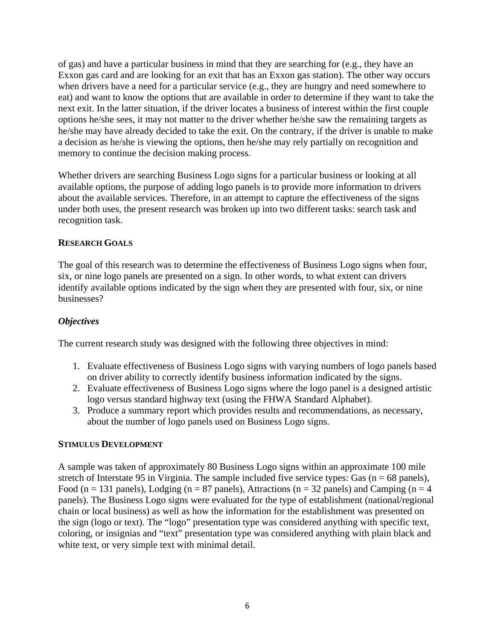of gas) and have a particular business in mind that they are searching for (e.g., they have an Exxon gas card and are looking for an exit that has an Exxon gas station). The other way occurs when drivers have a need for a particular service (e.g., they are hungry and need somewhere to eat) and want to know the options that are available in order to determine if they want to take the next exit. In the latter situation, if the driver locates a business of interest within the first couple options he/she sees, it may not matter to the driver whether he/she saw the remaining targets as he/she may have already decided to take the exit. On the contrary, if the driver is unable to make a decision as he/she is viewing the options, then he/she may rely partially on recognition and memory to continue the decision making process.

Whether drivers are searching Business Logo signs for a particular business or looking at all available options, the purpose of adding logo panels is to provide more information to drivers about the available services. Therefore, in an attempt to capture the effectiveness of the signs under both uses, the present research was broken up into two different tasks: search task and recognition task.

#### **RESEARCH GOALS**

The goal of this research was to determine the effectiveness of Business Logo signs when four, six, or nine logo panels are presented on a sign. In other words, to what extent can drivers identify available options indicated by the sign when they are presented with four, six, or nine businesses?

# *Objectives*

The current research study was designed with the following three objectives in mind:

- 1. Evaluate effectiveness of Business Logo signs with varying numbers of logo panels based on driver ability to correctly identify business information indicated by the signs.
- 2. Evaluate effectiveness of Business Logo signs where the logo panel is a designed artistic logo versus standard highway text (using the FHWA Standard Alphabet).
- 3. Produce a summary report which provides results and recommendations, as necessary, about the number of logo panels used on Business Logo signs.

#### **STIMULUS DEVELOPMENT**

A sample was taken of approximately 80 Business Logo signs within an approximate 100 mile stretch of Interstate 95 in Virginia. The sample included five service types: Gas ( $n = 68$  panels), Food (n = 131 panels), Lodging (n = 87 panels), Attractions (n = 32 panels) and Camping (n = 4 panels). The Business Logo signs were evaluated for the type of establishment (national/regional chain or local business) as well as how the information for the establishment was presented on the sign (logo or text). The "logo" presentation type was considered anything with specific text, coloring, or insignias and "text" presentation type was considered anything with plain black and white text, or very simple text with minimal detail.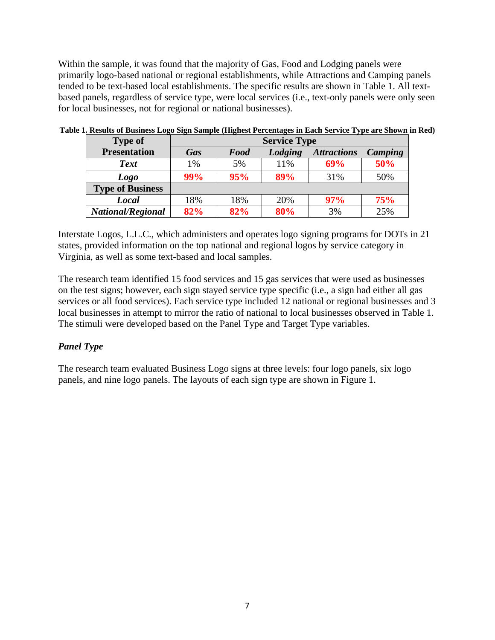Within the sample, it was found that the majority of Gas, Food and Lodging panels were primarily logo-based national or regional establishments, while Attractions and Camping panels tended to be text-based local establishments. The specific results are shown in Table 1. All textbased panels, regardless of service type, were local services (i.e., text-only panels were only seen for local businesses, not for regional or national businesses).

| <b>Type of</b>           | <b>Service Type</b> |             |         |                    |         |
|--------------------------|---------------------|-------------|---------|--------------------|---------|
| <b>Presentation</b>      | <b>Gas</b>          | <b>Food</b> | Lodging | <b>Attractions</b> | Camping |
| <b>Text</b>              | 1%                  | 5%          | 11%     | 69%                | 50%     |
| Logo                     | 99%                 | 95%         | 89%     | 31%                | 50%     |
| <b>Type of Business</b>  |                     |             |         |                    |         |
| <b>Local</b>             | 18%                 | 18%         | 20%     | 97%                | 75%     |
| <b>National/Regional</b> | 82%                 | 82%         | 80%     | 3%                 | 25%     |

**Table 1. Results of Business Logo Sign Sample (Highest Percentages in Each Service Type are Shown in Red)** 

Interstate Logos, L.L.C., which administers and operates logo signing programs for DOTs in 21 states, provided information on the top national and regional logos by service category in Virginia, as well as some text-based and local samples.

The research team identified 15 food services and 15 gas services that were used as businesses on the test signs; however, each sign stayed service type specific (i.e., a sign had either all gas services or all food services). Each service type included 12 national or regional businesses and 3 local businesses in attempt to mirror the ratio of national to local businesses observed in Table 1. The stimuli were developed based on the Panel Type and Target Type variables.

# *Panel Type*

The research team evaluated Business Logo signs at three levels: four logo panels, six logo panels, and nine logo panels. The layouts of each sign type are shown in Figure 1.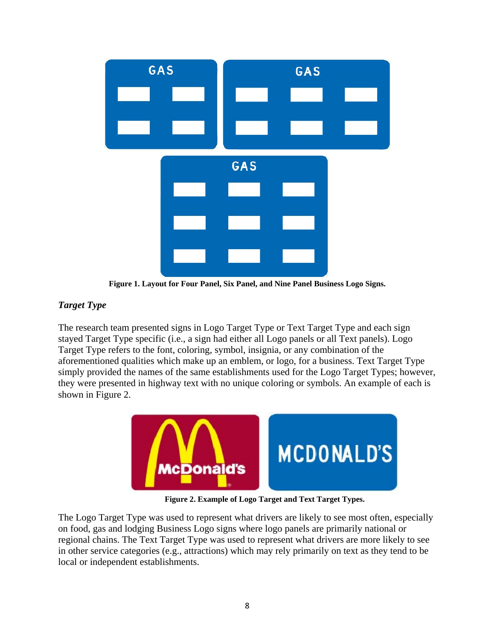

**Figure 1. Layout for Four Panel, Six Panel, and Nine Panel Business Logo Signs.** 

# *Target Type*

The research team presented signs in Logo Target Type or Text Target Type and each sign stayed Target Type specific (i.e., a sign had either all Logo panels or all Text panels). Logo Target Type refers to the font, coloring, symbol, insignia, or any combination of the aforementioned qualities which make up an emblem, or logo, for a business. Text Target Type simply provided the names of the same establishments used for the Logo Target Types; however, they were presented in highway text with no unique coloring or symbols. An example of each is shown in Figure 2.



**Figure 2. Example of Logo Target and Text Target Types.** 

The Logo Target Type was used to represent what drivers are likely to see most often, especially on food, gas and lodging Business Logo signs where logo panels are primarily national or regional chains. The Text Target Type was used to represent what drivers are more likely to see in other service categories (e.g., attractions) which may rely primarily on text as they tend to be local or independent establishments.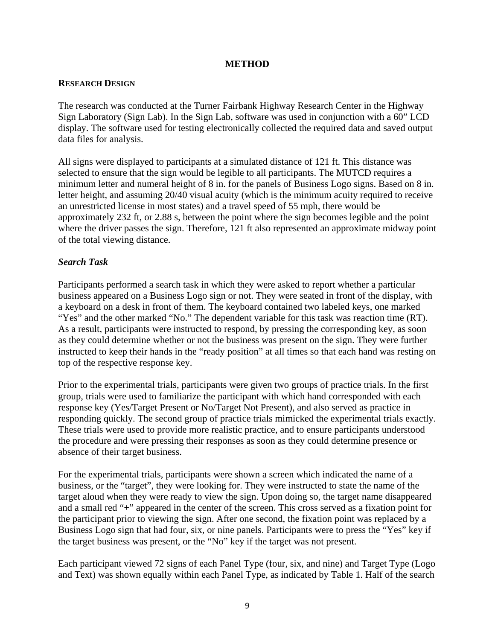#### **METHOD**

#### **RESEARCH DESIGN**

The research was conducted at the Turner Fairbank Highway Research Center in the Highway Sign Laboratory (Sign Lab). In the Sign Lab, software was used in conjunction with a 60" LCD display. The software used for testing electronically collected the required data and saved output data files for analysis.

All signs were displayed to participants at a simulated distance of 121 ft. This distance was selected to ensure that the sign would be legible to all participants. The MUTCD requires a minimum letter and numeral height of 8 in. for the panels of Business Logo signs. Based on 8 in. letter height, and assuming 20/40 visual acuity (which is the minimum acuity required to receive an unrestricted license in most states) and a travel speed of 55 mph, there would be approximately 232 ft, or 2.88 s, between the point where the sign becomes legible and the point where the driver passes the sign. Therefore, 121 ft also represented an approximate midway point of the total viewing distance.

# *Search Task*

Participants performed a search task in which they were asked to report whether a particular business appeared on a Business Logo sign or not. They were seated in front of the display, with a keyboard on a desk in front of them. The keyboard contained two labeled keys, one marked "Yes" and the other marked "No." The dependent variable for this task was reaction time (RT). As a result, participants were instructed to respond, by pressing the corresponding key, as soon as they could determine whether or not the business was present on the sign. They were further instructed to keep their hands in the "ready position" at all times so that each hand was resting on top of the respective response key.

Prior to the experimental trials, participants were given two groups of practice trials. In the first group, trials were used to familiarize the participant with which hand corresponded with each response key (Yes/Target Present or No/Target Not Present), and also served as practice in responding quickly. The second group of practice trials mimicked the experimental trials exactly. These trials were used to provide more realistic practice, and to ensure participants understood the procedure and were pressing their responses as soon as they could determine presence or absence of their target business.

For the experimental trials, participants were shown a screen which indicated the name of a business, or the "target", they were looking for. They were instructed to state the name of the target aloud when they were ready to view the sign. Upon doing so, the target name disappeared and a small red "+" appeared in the center of the screen. This cross served as a fixation point for the participant prior to viewing the sign. After one second, the fixation point was replaced by a Business Logo sign that had four, six, or nine panels. Participants were to press the "Yes" key if the target business was present, or the "No" key if the target was not present.

Each participant viewed 72 signs of each Panel Type (four, six, and nine) and Target Type (Logo and Text) was shown equally within each Panel Type, as indicated by Table 1. Half of the search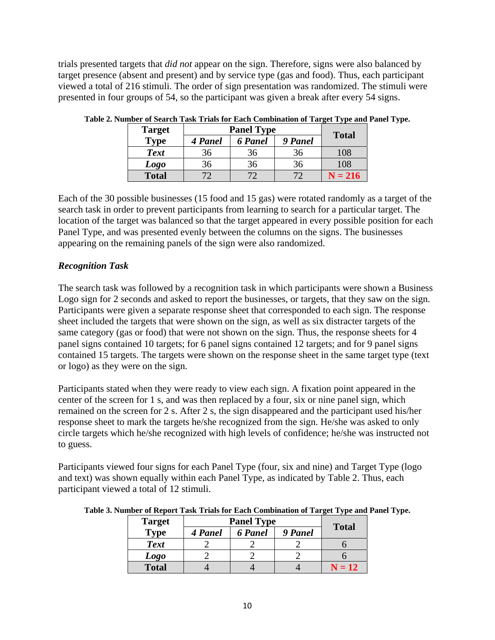trials presented targets that *did not* appear on the sign. Therefore, signs were also balanced by target presence (absent and present) and by service type (gas and food). Thus, each participant viewed a total of 216 stimuli. The order of sign presentation was randomized. The stimuli were presented in four groups of 54, so the participant was given a break after every 54 signs.

| <b>Target</b> | <b>Panel Type</b> |                |         | <b>Total</b> |
|---------------|-------------------|----------------|---------|--------------|
| Type          | 4 Panel           | <b>6</b> Panel | 9 Panel |              |
| <b>Text</b>   | 36                | 36             | 36      | 108          |
| <b>Logo</b>   | 36                | 36             | 36      | 108          |
| <b>Total</b>  |                   |                |         | $N = 216$    |

**Table 2. Number of Search Task Trials for Each Combination of Target Type and Panel Type.** 

Each of the 30 possible businesses (15 food and 15 gas) were rotated randomly as a target of the search task in order to prevent participants from learning to search for a particular target. The location of the target was balanced so that the target appeared in every possible position for each Panel Type, and was presented evenly between the columns on the signs. The businesses appearing on the remaining panels of the sign were also randomized.

# *Recognition Task*

The search task was followed by a recognition task in which participants were shown a Business Logo sign for 2 seconds and asked to report the businesses, or targets, that they saw on the sign. Participants were given a separate response sheet that corresponded to each sign. The response sheet included the targets that were shown on the sign, as well as six distracter targets of the same category (gas or food) that were not shown on the sign. Thus, the response sheets for 4 panel signs contained 10 targets; for 6 panel signs contained 12 targets; and for 9 panel signs contained 15 targets. The targets were shown on the response sheet in the same target type (text or logo) as they were on the sign.

Participants stated when they were ready to view each sign. A fixation point appeared in the center of the screen for 1 s, and was then replaced by a four, six or nine panel sign, which remained on the screen for 2 s. After 2 s, the sign disappeared and the participant used his/her response sheet to mark the targets he/she recognized from the sign. He/she was asked to only circle targets which he/she recognized with high levels of confidence; he/she was instructed not to guess.

Participants viewed four signs for each Panel Type (four, six and nine) and Target Type (logo and text) was shown equally within each Panel Type, as indicated by Table 2. Thus, each participant viewed a total of 12 stimuli.

| <b>Target</b> | <b>Panel Type</b> |                |         | <b>Total</b>      |
|---------------|-------------------|----------------|---------|-------------------|
| <b>Type</b>   | 4 Panel           | <b>6</b> Panel | 9 Panel |                   |
| <b>Text</b>   |                   |                |         |                   |
| <b>Logo</b>   |                   |                |         |                   |
| <b>Total</b>  |                   |                |         | $\mathbf{N} = 12$ |

**Table 3. Number of Report Task Trials for Each Combination of Target Type and Panel Type.**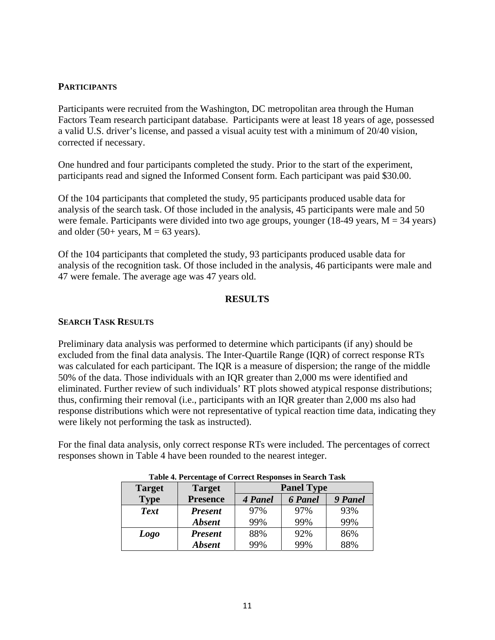# **PARTICIPANTS**

Participants were recruited from the Washington, DC metropolitan area through the Human Factors Team research participant database. Participants were at least 18 years of age, possessed a valid U.S. driver's license, and passed a visual acuity test with a minimum of 20/40 vision, corrected if necessary.

One hundred and four participants completed the study. Prior to the start of the experiment, participants read and signed the Informed Consent form. Each participant was paid \$30.00.

Of the 104 participants that completed the study, 95 participants produced usable data for analysis of the search task. Of those included in the analysis, 45 participants were male and 50 were female. Participants were divided into two age groups, younger (18-49 years,  $M = 34$  years) and older (50+ years,  $M = 63$  years).

Of the 104 participants that completed the study, 93 participants produced usable data for analysis of the recognition task. Of those included in the analysis, 46 participants were male and 47 were female. The average age was 47 years old.

#### **RESULTS**

#### **SEARCH TASK RESULTS**

Preliminary data analysis was performed to determine which participants (if any) should be excluded from the final data analysis. The Inter-Quartile Range (IQR) of correct response RTs was calculated for each participant. The IQR is a measure of dispersion; the range of the middle 50% of the data. Those individuals with an IQR greater than 2,000 ms were identified and eliminated. Further review of such individuals' RT plots showed atypical response distributions; thus, confirming their removal (i.e., participants with an IQR greater than 2,000 ms also had response distributions which were not representative of typical reaction time data, indicating they were likely not performing the task as instructed).

For the final data analysis, only correct response RTs were included. The percentages of correct responses shown in Table 4 have been rounded to the nearest integer.

| <b>Target</b> | <b>Target</b>   | <b>Panel Type</b> |                |         |
|---------------|-----------------|-------------------|----------------|---------|
| <b>Type</b>   | <b>Presence</b> | 4 Panel           | <b>6</b> Panel | 9 Panel |
| <b>Text</b>   | <b>Present</b>  | 97%               | 97%            | 93%     |
|               | <b>Absent</b>   | 99%               | 99%            | 99%     |
| Logo          | <b>Present</b>  | 88%               | 92%            | 86%     |
|               | <b>Absent</b>   | 99%               | 99%            | 88%     |

#### **Table 4. Percentage of Correct Responses in Search Task**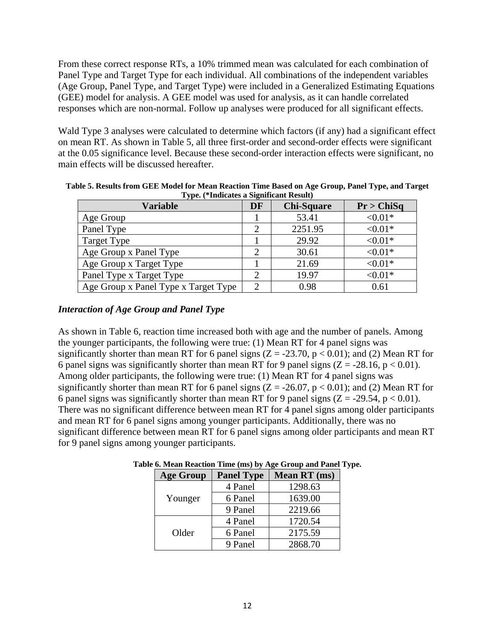From these correct response RTs, a 10% trimmed mean was calculated for each combination of Panel Type and Target Type for each individual. All combinations of the independent variables (Age Group, Panel Type, and Target Type) were included in a Generalized Estimating Equations (GEE) model for analysis. A GEE model was used for analysis, as it can handle correlated responses which are non-normal. Follow up analyses were produced for all significant effects.

Wald Type 3 analyses were calculated to determine which factors (if any) had a significant effect on mean RT. As shown in Table 5, all three first-order and second-order effects were significant at the 0.05 significance level. Because these second-order interaction effects were significant, no main effects will be discussed hereafter.

| $   -$                               |           |                   |            |
|--------------------------------------|-----------|-------------------|------------|
| <b>Variable</b>                      | <b>DF</b> | <b>Chi-Square</b> | Pr > ChiSq |
| Age Group                            |           | 53.41             | ${<}0.01*$ |
| Panel Type                           | ∍         | 2251.95           | ${<}0.01*$ |
| Target Type                          |           | 29.92             | $< 0.01*$  |
| Age Group x Panel Type               |           | 30.61             | $< 0.01*$  |
| Age Group x Target Type              |           | 21.69             | $< 0.01*$  |
| Panel Type x Target Type             | ി         | 19.97             | $< 0.01*$  |
| Age Group x Panel Type x Target Type | ∍         | 0.98              | 0.61       |

**Table 5. Results from GEE Model for Mean Reaction Time Based on Age Group, Panel Type, and Target Type. (\*Indicates a Significant Result)** 

# *Interaction of Age Group and Panel Type*

As shown in Table 6, reaction time increased both with age and the number of panels. Among the younger participants, the following were true: (1) Mean RT for 4 panel signs was significantly shorter than mean RT for 6 panel signs  $(Z = -23.70, p < 0.01)$ ; and (2) Mean RT for 6 panel signs was significantly shorter than mean RT for 9 panel signs  $(Z = -28.16, p < 0.01)$ . Among older participants, the following were true: (1) Mean RT for 4 panel signs was significantly shorter than mean RT for 6 panel signs  $(Z = -26.07, p < 0.01)$ ; and (2) Mean RT for 6 panel signs was significantly shorter than mean RT for 9 panel signs  $(Z = -29.54, p < 0.01)$ . There was no significant difference between mean RT for 4 panel signs among older participants and mean RT for 6 panel signs among younger participants. Additionally, there was no significant difference between mean RT for 6 panel signs among older participants and mean RT for 9 panel signs among younger participants.

| <b>Age Group</b> | <b>Panel Type</b> | Mean RT (ms) |
|------------------|-------------------|--------------|
|                  | 4 Panel           | 1298.63      |
| Younger          | 6 Panel           | 1639.00      |
|                  | 9 Panel           | 2219.66      |
|                  | 4 Panel           | 1720.54      |
| Older            | 6 Panel           | 2175.59      |
|                  | 9 Panel           | 2868.70      |

# **Table 6. Mean Reaction Time (ms) by Age Group and Panel Type.**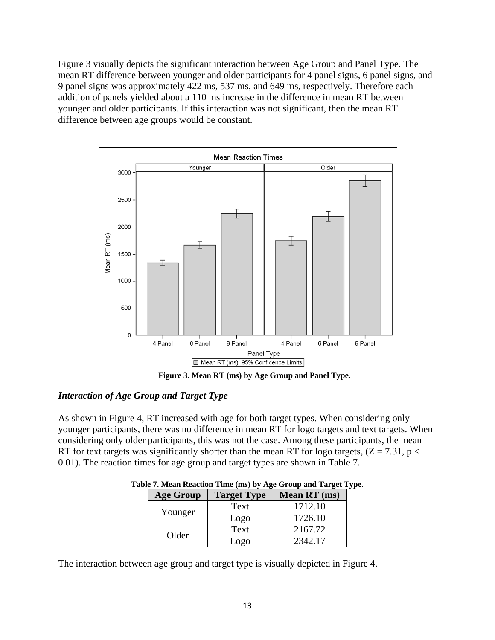Figure 3 visually depicts the significant interaction between Age Group and Panel Type. The mean RT difference between younger and older participants for 4 panel signs, 6 panel signs, and 9 panel signs was approximately 422 ms, 537 ms, and 649 ms, respectively. Therefore each addition of panels yielded about a 110 ms increase in the difference in mean RT between younger and older participants. If this interaction was not significant, then the mean RT difference between age groups would be constant.



**Figure 3. Mean RT (ms) by Age Group and Panel Type.** 

# *Interaction of Age Group and Target Type*

As shown in Figure 4, RT increased with age for both target types. When considering only younger participants, there was no difference in mean RT for logo targets and text targets. When considering only older participants, this was not the case. Among these participants, the mean RT for text targets was significantly shorter than the mean RT for logo targets,  $(Z = 7.31, p <$ 0.01). The reaction times for age group and target types are shown in Table 7.

| <b>Age Group</b> | <b>Target Type</b> | Mean RT (ms) |
|------------------|--------------------|--------------|
|                  | Text               | 1712.10      |
| Younger          | Logo               | 1726.10      |
|                  | Text               | 2167.72      |
| Older            | Logo               | 2342.17      |

**Table 7. Mean Reaction Time (ms) by Age Group and Target Type.** 

The interaction between age group and target type is visually depicted in Figure 4.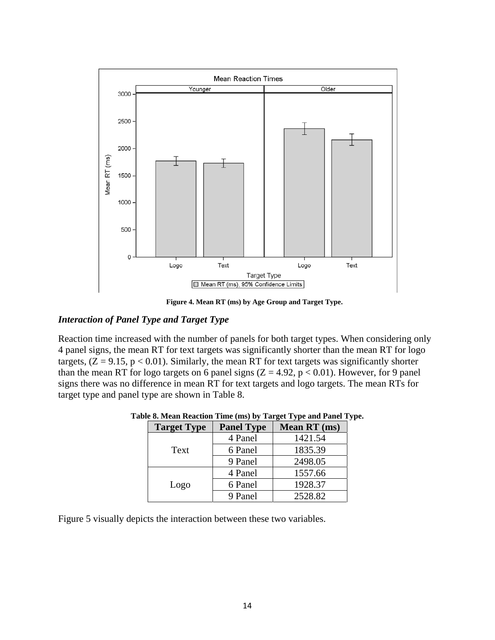

**Figure 4. Mean RT (ms) by Age Group and Target Type.** 

## *Interaction of Panel Type and Target Type*

Reaction time increased with the number of panels for both target types. When considering only 4 panel signs, the mean RT for text targets was significantly shorter than the mean RT for logo targets,  $(Z = 9.15, p < 0.01)$ . Similarly, the mean RT for text targets was significantly shorter than the mean RT for logo targets on 6 panel signs  $(Z = 4.92, p < 0.01)$ . However, for 9 panel signs there was no difference in mean RT for text targets and logo targets. The mean RTs for target type and panel type are shown in Table 8.

| <b>Target Type</b> | <b>Panel Type</b> | <b>Mean RT</b> (ms) |
|--------------------|-------------------|---------------------|
|                    | 4 Panel           | 1421.54             |
| Text               | 6 Panel           | 1835.39             |
|                    | 9 Panel           | 2498.05             |
|                    | 4 Panel           | 1557.66             |
| Logo               | 6 Panel           | 1928.37             |
|                    | 9 Panel           | 2528.82             |

**Table 8. Mean Reaction Time (ms) by Target Type and Panel Type.** 

Figure 5 visually depicts the interaction between these two variables.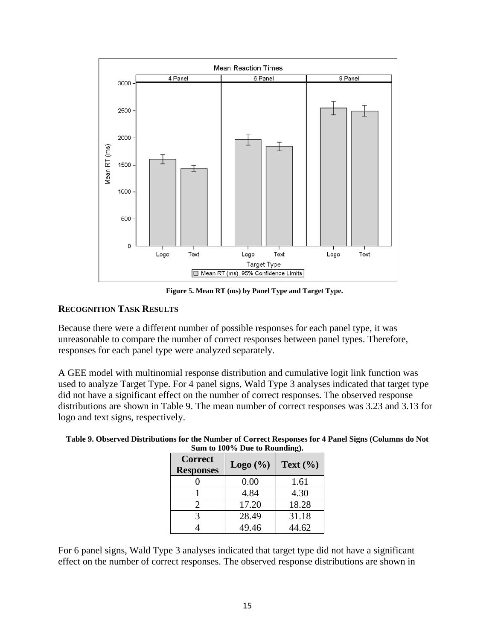

**Figure 5. Mean RT (ms) by Panel Type and Target Type.** 

# **RECOGNITION TASK RESULTS**

Because there were a different number of possible responses for each panel type, it was unreasonable to compare the number of correct responses between panel types. Therefore, responses for each panel type were analyzed separately.

A GEE model with multinomial response distribution and cumulative logit link function was used to analyze Target Type. For 4 panel signs, Wald Type 3 analyses indicated that target type did not have a significant effect on the number of correct responses. The observed response distributions are shown in Table 9. The mean number of correct responses was 3.23 and 3.13 for logo and text signs, respectively.

| Sum to Too % Due to Rounding).     |                    |              |  |  |
|------------------------------------|--------------------|--------------|--|--|
| <b>Correct</b><br><b>Responses</b> | $\text{Logo}(\% )$ | Text $(\% )$ |  |  |
|                                    | 0.00               | 1.61         |  |  |
|                                    | 4.84               | 4.30         |  |  |
| 2                                  | 17.20              | 18.28        |  |  |
| 2                                  | 28.49              | 31.18        |  |  |
|                                    | 49.46              | 44.62        |  |  |

**Table 9. Observed Distributions for the Number of Correct Responses for 4 Panel Signs (Columns do Not Sum to 100% Due to Rounding).** 

For 6 panel signs, Wald Type 3 analyses indicated that target type did not have a significant effect on the number of correct responses. The observed response distributions are shown in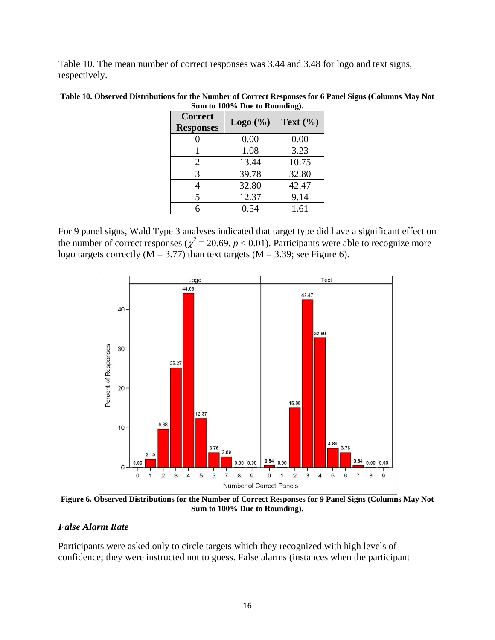Table 10. The mean number of correct responses was 3.44 and 3.48 for logo and text signs, respectively.

| Table 10. Observed Distributions for the Number of Correct Responses for 6 Panel Signs (Columns May Not |
|---------------------------------------------------------------------------------------------------------|
| Sum to 100% Due to Rounding).                                                                           |

| <b>Correct</b><br><b>Responses</b> | Logo $(\% )$ | Text $(\% )$ |
|------------------------------------|--------------|--------------|
|                                    | 0.00         | 0.00         |
|                                    | 1.08         | 3.23         |
| 2                                  | 13.44        | 10.75        |
| 3                                  | 39.78        | 32.80        |
|                                    | 32.80        | 42.47        |
| 5                                  | 12.37        | 9.14         |
|                                    | 0.54         | 1.61         |

For 9 panel signs, Wald Type 3 analyses indicated that target type did have a significant effect on the number of correct responses ( $\chi^2$  = 20.69, *p* < 0.01). Participants were able to recognize more logo targets correctly ( $M = 3.77$ ) than text targets ( $M = 3.39$ ; see Figure 6).



**Figure 6. Observed Distributions for the Number of Correct Responses for 9 Panel Signs (Columns May Not Sum to 100% Due to Rounding).** 

#### *False Alarm Rate*

Participants were asked only to circle targets which they recognized with high levels of confidence; they were instructed not to guess. False alarms (instances when the participant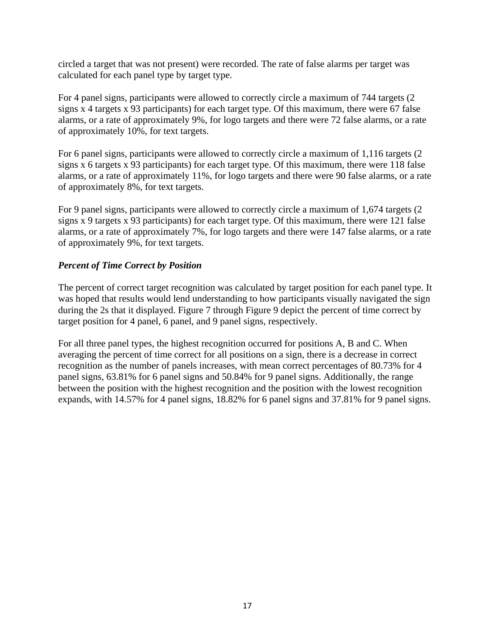circled a target that was not present) were recorded. The rate of false alarms per target was calculated for each panel type by target type.

For 4 panel signs, participants were allowed to correctly circle a maximum of 744 targets (2 signs x 4 targets x 93 participants) for each target type. Of this maximum, there were 67 false alarms, or a rate of approximately 9%, for logo targets and there were 72 false alarms, or a rate of approximately 10%, for text targets.

For 6 panel signs, participants were allowed to correctly circle a maximum of 1,116 targets (2 signs x 6 targets x 93 participants) for each target type. Of this maximum, there were 118 false alarms, or a rate of approximately 11%, for logo targets and there were 90 false alarms, or a rate of approximately 8%, for text targets.

For 9 panel signs, participants were allowed to correctly circle a maximum of 1,674 targets (2 signs x 9 targets x 93 participants) for each target type. Of this maximum, there were 121 false alarms, or a rate of approximately 7%, for logo targets and there were 147 false alarms, or a rate of approximately 9%, for text targets.

# *Percent of Time Correct by Position*

The percent of correct target recognition was calculated by target position for each panel type. It was hoped that results would lend understanding to how participants visually navigated the sign during the 2s that it displayed. Figure 7 through Figure 9 depict the percent of time correct by target position for 4 panel, 6 panel, and 9 panel signs, respectively.

For all three panel types, the highest recognition occurred for positions A, B and C. When averaging the percent of time correct for all positions on a sign, there is a decrease in correct recognition as the number of panels increases, with mean correct percentages of 80.73% for 4 panel signs, 63.81% for 6 panel signs and 50.84% for 9 panel signs. Additionally, the range between the position with the highest recognition and the position with the lowest recognition expands, with 14.57% for 4 panel signs, 18.82% for 6 panel signs and 37.81% for 9 panel signs.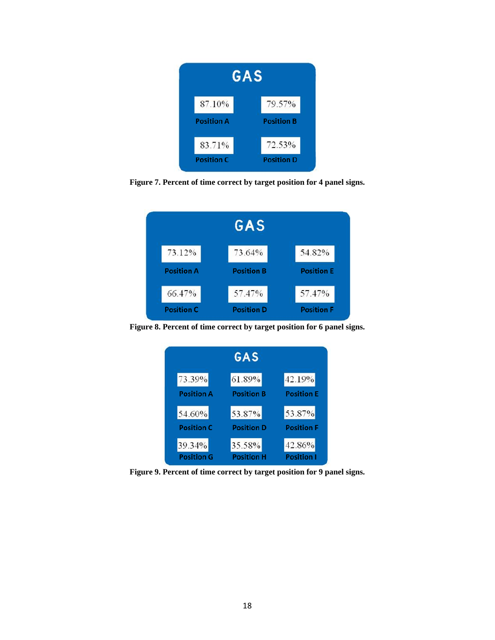

**Figure 7. Percent of time correct by target position for 4 panel signs.** 



**Figure 8. Percent of time correct by target position for 6 panel signs.** 



**Figure 9. Percent of time correct by target position for 9 panel signs.**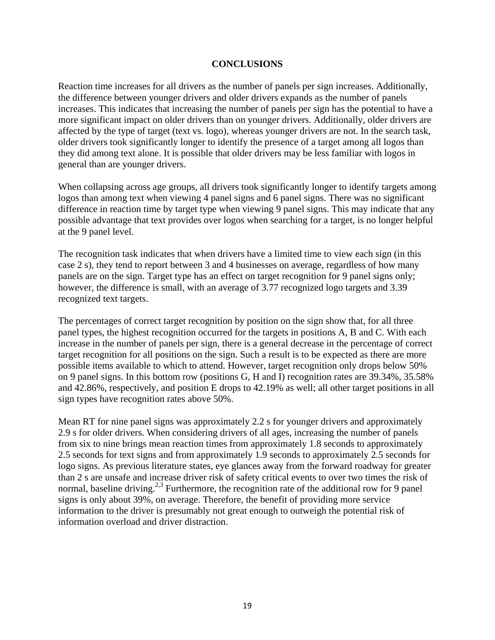#### **CONCLUSIONS**

Reaction time increases for all drivers as the number of panels per sign increases. Additionally, the difference between younger drivers and older drivers expands as the number of panels increases. This indicates that increasing the number of panels per sign has the potential to have a more significant impact on older drivers than on younger drivers. Additionally, older drivers are affected by the type of target (text vs. logo), whereas younger drivers are not. In the search task, older drivers took significantly longer to identify the presence of a target among all logos than they did among text alone. It is possible that older drivers may be less familiar with logos in general than are younger drivers.

When collapsing across age groups, all drivers took significantly longer to identify targets among logos than among text when viewing 4 panel signs and 6 panel signs. There was no significant difference in reaction time by target type when viewing 9 panel signs. This may indicate that any possible advantage that text provides over logos when searching for a target, is no longer helpful at the 9 panel level.

The recognition task indicates that when drivers have a limited time to view each sign (in this case 2 s), they tend to report between 3 and 4 businesses on average, regardless of how many panels are on the sign. Target type has an effect on target recognition for 9 panel signs only; however, the difference is small, with an average of 3.77 recognized logo targets and 3.39 recognized text targets.

The percentages of correct target recognition by position on the sign show that, for all three panel types, the highest recognition occurred for the targets in positions A, B and C. With each increase in the number of panels per sign, there is a general decrease in the percentage of correct target recognition for all positions on the sign. Such a result is to be expected as there are more possible items available to which to attend. However, target recognition only drops below 50% on 9 panel signs. In this bottom row (positions G, H and I) recognition rates are 39.34%, 35.58% and 42.86%, respectively, and position E drops to 42.19% as well; all other target positions in all sign types have recognition rates above 50%.

Mean RT for nine panel signs was approximately 2.2 s for younger drivers and approximately 2.9 s for older drivers. When considering drivers of all ages, increasing the number of panels from six to nine brings mean reaction times from approximately 1.8 seconds to approximately 2.5 seconds for text signs and from approximately 1.9 seconds to approximately 2.5 seconds for logo signs. As previous literature states, eye glances away from the forward roadway for greater than 2 s are unsafe and increase driver risk of safety critical events to over two times the risk of normal, baseline driving.<sup>2,3</sup> Furthermore, the recognition rate of the additional row for 9 panel signs is only about 39%, on average. Therefore, the benefit of providing more service information to the driver is presumably not great enough to outweigh the potential risk of information overload and driver distraction.